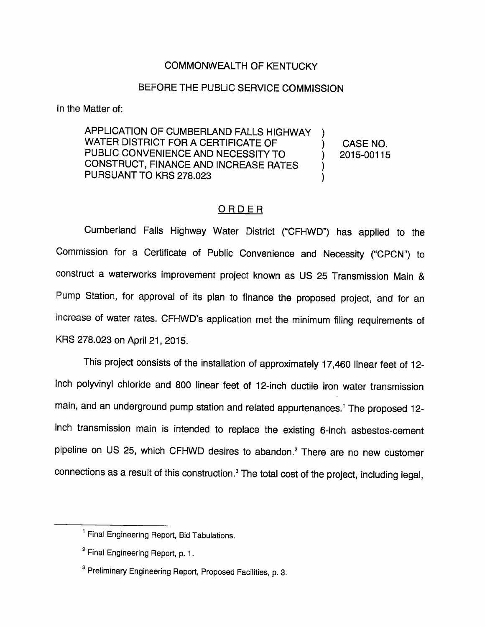### COMMONWEALTH OF KENTUCKY

#### BEFORE THE PUBLIC SERVICE COMMISSION

In the Matter of:

APPLICATION OF CUMBERLAND FALLS HIGHWAY WATER DISTRICT FOR A CERTIFICATE OF PUBLIC CONVENIENCE AND NECESSITY TO CONSTRUCT, FINANCE AND INCREASE RATES PURSUANT TO KRS 278.023

CASE NO. 2015-00115

## ORDER

Cumberland Falls Highway Water District ("CFHWD") has applied to the Commission for a Certificate of Public Convenience and Necessity ("CPCN") to construct a waterworks improvement project known as US 25 Transmission Main & Pump Station, for approval of its plan to finance the proposed project, and for an increase of water rates. CFHWD's application met the minimum filing requirements of KRS 278.023 on April 21, 2015.

This project consists of the installation of approximately 17,460 linear feet of 12 inch polyvinyl chloride and 800 linear feet of 12-inch ductile iron water transmission main, and an underground pump station and related appurtenances.<sup>1</sup> The proposed 12inch transmission main is intended to replace the existing 6-inch asbestos-cement pipeline on US 25, which CFHWD desires to abandon.<sup>2</sup> There are no new customer connections as a result of this construction.<sup>3</sup> The total cost of the project, including legal,

<sup>&</sup>lt;sup>1</sup> Final Engineering Report, Bid Tabulations.

<sup>&</sup>lt;sup>2</sup> Final Engineering Report, p. 1.

<sup>&</sup>lt;sup>3</sup> Preliminary Engineering Report, Proposed Facilities, p. 3.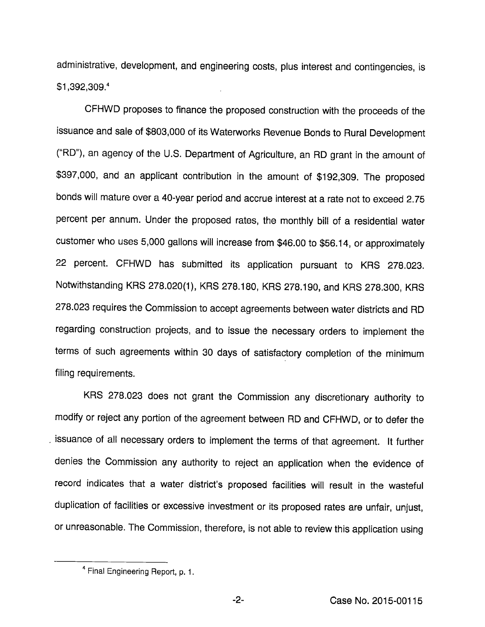administrative, development, and engineering costs, plus interest and contingencies, is \$1,392,309/

CFHWD proposes to finance the proposed construction with the proceeds of the issuance and sale of \$803,000 of its Waterworks Revenue Bonds to Rural Development ("RD"), an agency of the U.S. Department of Agriculture, an RD grant in the amount of \$397,000, and an applicant contribution in the amount of \$192,309. The proposed bonds will mature over a 40-year period and accrue interest at a rate not to exceed 2.75 percent per annum. Under the proposed rates, the monthly bill of a residential water customer who uses 5,000 gallons will increase from \$46.00 to \$56.14, or approximately 22 percent. CFHWD has submitted its application pursuant to KRS 278.023. Notwithstanding KRS 278.020(1), KRS 278.180, KRS 278.190, and KRS 278.300, KRS 278.023 requires the Commission to accept agreements between water districts and RD regarding construction projects, and to issue the necessary orders to implement the terms of such agreements within 30 days of satisfactory completion of the minimum filing requirements.

KRS 278.023 does not grant the Commission any discretionary authority to modify or reject any portion of the agreement between RD and CFHWD, or to defer the issuance of all necessary orders to implement the terms of that agreement. It further denies the Commission any authority to reject an application when the evidence of record indicates that a water district's proposed facilities will result in the wasteful duplication of facilities or excessive investment or its proposed rates are unfair, unjust, or unreasonable. The Commission, therefore, is notable to review this application using

Final Engineering Report, p. 1.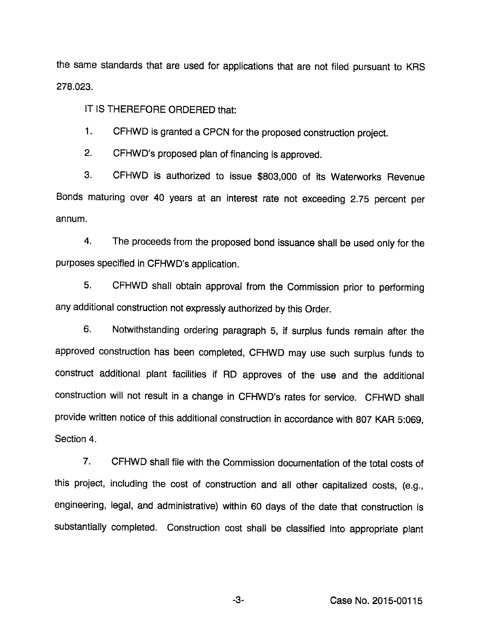the same standards that are used for applications that are not filed pursuant to KRS 278.023.

IT IS THEREFORE ORDERED that:

1. CFHWD is granted a CPCN for the proposed construction project.

2. CFHWD's proposed plan of financing is approved.

3. CFHWD is authorized to issue \$803,000 of its Waterworks Revenue Bonds maturing over 40 years at an interest rate not exceeding 2.75 percent per annum.

4. The proceeds from the proposed bond issuance shall be used only for the purposes specified in CFHWD's application.

5. CFHWD shall obtain approvai from the Commission prior to performing any additional construction not expressiy authorized by this Order.

6. Notwithstanding ordering paragraph 5, if surpius funds remain after the approved construction has been compieted, CFHWD may use such surplus funds to construct additional plant facilities if RD approves of the use and the additional construction wiii not result in a change in CFHWD's rates for service. CFHWD shall provide written notice of this additional construction in accordance with 807 KAR 5:069, Section 4.

7. CFHWD shall file with the Commission documentation of the total costs of this project, including the cost of construction and all other capitalized costs, (e.g., engineering, legal, and administrative) within 60 days of the date that construction is substantially completed. Construction cost shall be classified into appropriate plant

-3- Case No. 2015-00115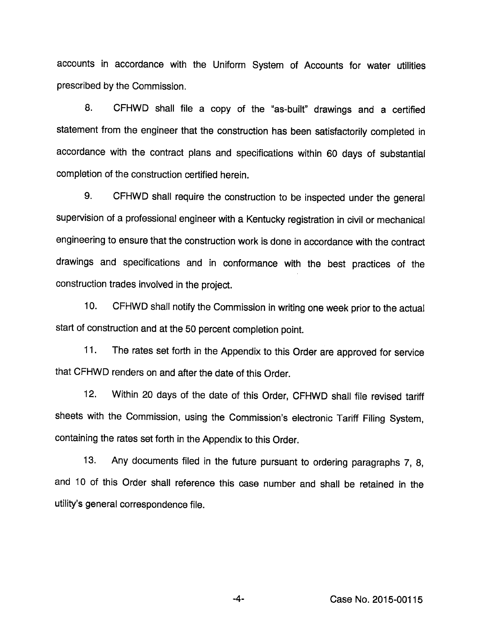accounts in accordance with the Uniform System of Accounts for water utilities prescribed by the Commission.

8. CFHWD shall file a copy of the "as-built" drawings and a certified statement from the engineer that the construction has been satisfactorily completed in accordance with the contract plans and specifications within 60 days of substantial completion of the construction certified herein.

9. CFHWD shall require the construction to be inspected under the general supervision of a professional engineer with a Kentucky registration in civil or mechanical engineering to ensure that the construction work is done in accordance with the contract drawings and specifications and in conformance with the best practices of the construction trades involved in the project.

10. CFHWD shail notify the Commission in writing one week prior to the actual start of construction and at the 50 percent completion point.

11. The rates set forth in the Appendix to this Order are approved for service that CFHWD renders on and after the date of this Order.

12. Within 20 days of the date of this Order, CFHWD shall file revised tariff sheets with the Commission, using the Commission's electronic Tariff Filing System, containing the rates set forth in the Appendix to this Order.

13. Any documents filed in the future pursuant to ordering paragraphs 7, 8, and 10 of this Order shall reference this case number and shall be retained in the utility's general correspondence file.

Case No. 2015-00115

-4-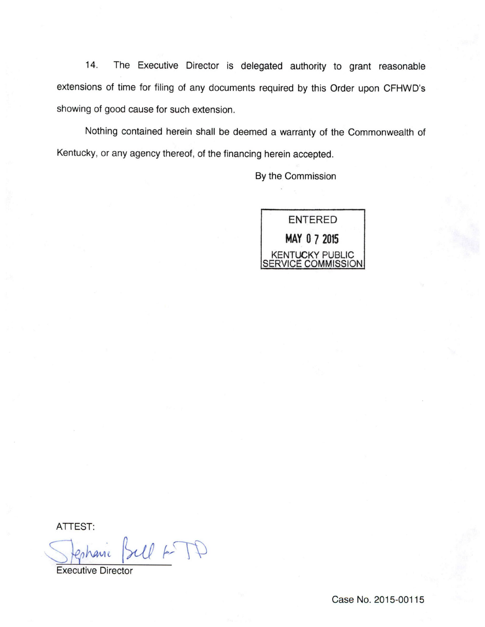14. The Executive Director is delegated authority to grant reasonable extensions of time for filing of any documents required by this Order upon CFHWD's showing of good cause for such extension.

Nothing contained herein shall be deemed a warranty of the Commonwealth of Kentucky, or any agency thereof, of the financing herein accepted.

By the Commission



ATTEST:

 $U$  +  $T$ 

Executive Director

Case No. 2015-00115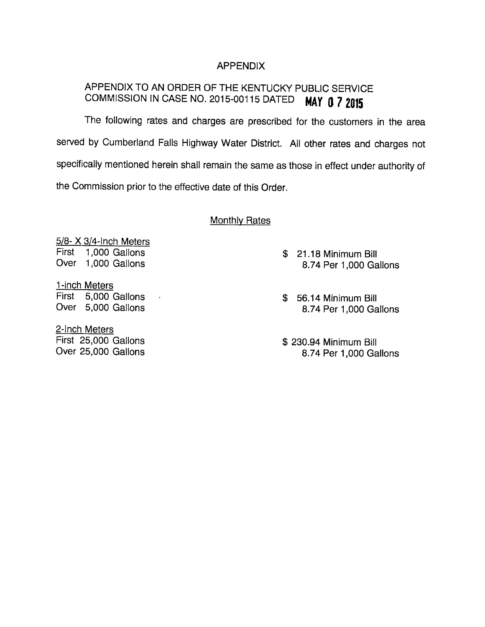### APPENDIX

# APPENDIX TO AN ORDER OF THE KENTUCKY PUBLIC SERVICE COMMISSION IN CASE NO. 2015-00115 DATED MAY 0 7 2015

The following rates and charges are prescribed for the customers in the area served by Cumberland Falls Highway Water District. All other rates and charges not specifically mentioned herein shall remain the same as those in effect under authority of the Commission prior to the effective date of this Order.

#### **Monthly Rates**

5/8- X 3/4-Inch Meters First 1,000 Gallons Over 1,000 Gallons

1-inch Meters First 5,000 Gallons Over 5,000 Gallons

 $\sim$   $\sim$ 

2-Inch Meters First 25,000 Gallons Over 25,000 Gallons

- \$ 21.18 Minimum Bill 8.74 Per 1,000 Gallons
- \$ 56.14 Minimum Bill 8.74 Per 1,000 Gallons

\$ 230.94 Minimum Bill 8.74 Per 1,000 Gallons